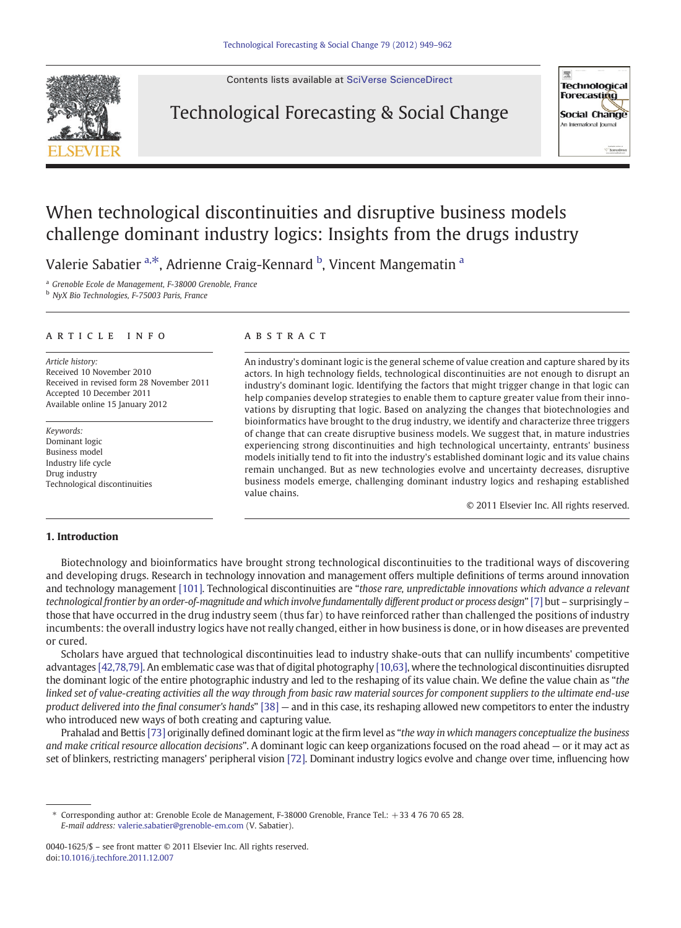Contents lists available at [SciVerse ScienceDirect](http://www.sciencedirect.com/science/journal/00401625)



Technological Forecasting & Social Change



## When technological discontinuities and disruptive business models challenge dominant industry logics: Insights from the drugs industry

Valerie Sabatier <sup>a,\*</sup>, Adrienne Craig-Kennard <sup>b</sup>, Vincent Mangematin <sup>a</sup>

<sup>a</sup> Grenoble Ecole de Management, F-38000 Grenoble, France

<sup>b</sup> NyX Bio Technologies, F-75003 Paris, France

#### article info abstract

Article history: Received 10 November 2010 Received in revised form 28 November 2011 Accepted 10 December 2011 Available online 15 January 2012

Keywords: Dominant logic Business model Industry life cycle Drug industry Technological discontinuities

An industry's dominant logic is the general scheme of value creation and capture shared by its actors. In high technology fields, technological discontinuities are not enough to disrupt an industry's dominant logic. Identifying the factors that might trigger change in that logic can help companies develop strategies to enable them to capture greater value from their innovations by disrupting that logic. Based on analyzing the changes that biotechnologies and bioinformatics have brought to the drug industry, we identify and characterize three triggers of change that can create disruptive business models. We suggest that, in mature industries experiencing strong discontinuities and high technological uncertainty, entrants' business models initially tend to fit into the industry's established dominant logic and its value chains remain unchanged. But as new technologies evolve and uncertainty decreases, disruptive business models emerge, challenging dominant industry logics and reshaping established value chains.

© 2011 Elsevier Inc. All rights reserved.

### 1. Introduction

Biotechnology and bioinformatics have brought strong technological discontinuities to the traditional ways of discovering and developing drugs. Research in technology innovation and management offers multiple definitions of terms around innovation and technology management [\[101\].](#page--1-0) Technological discontinuities are "those rare, unpredictable innovations which advance a relevant technological frontier by an order-of-magnitude and which involve fundamentally different product or process design" [\[7\]](#page--1-0) but – surprisingly – those that have occurred in the drug industry seem (thus far) to have reinforced rather than challenged the positions of industry incumbents: the overall industry logics have not really changed, either in how business is done, or in how diseases are prevented or cured.

Scholars have argued that technological discontinuities lead to industry shake-outs that can nullify incumbents' competitive advantages [\[42,78,79\]](#page--1-0). An emblematic case was that of digital photography [\[10,63\],](#page--1-0) where the technological discontinuities disrupted the dominant logic of the entire photographic industry and led to the reshaping of its value chain. We define the value chain as "the linked set of value-creating activities all the way through from basic raw material sources for component suppliers to the ultimate end-use product delivered into the final consumer's hands" [\[38\]](#page--1-0) — and in this case, its reshaping allowed new competitors to enter the industry who introduced new ways of both creating and capturing value.

Prahalad and Bettis [\[73\]](#page--1-0) originally defined dominant logic at the firm level as "the way in which managers conceptualize the business and make critical resource allocation decisions". A dominant logic can keep organizations focused on the road ahead — or it may act as set of blinkers, restricting managers' peripheral vision [\[72\].](#page--1-0) Dominant industry logics evolve and change over time, influencing how

<sup>⁎</sup> Corresponding author at: Grenoble Ecole de Management, F-38000 Grenoble, France Tel.: +33 4 76 70 65 28. E-mail address: [valerie.sabatier@grenoble-em.com](mailto:valerie.sabatier@grenoble-em.com) (V. Sabatier).

<sup>0040-1625/\$</sup> – see front matter © 2011 Elsevier Inc. All rights reserved. doi[:10.1016/j.techfore.2011.12.007](http://dx.doi.org/10.1016/j.techfore.2011.12.007)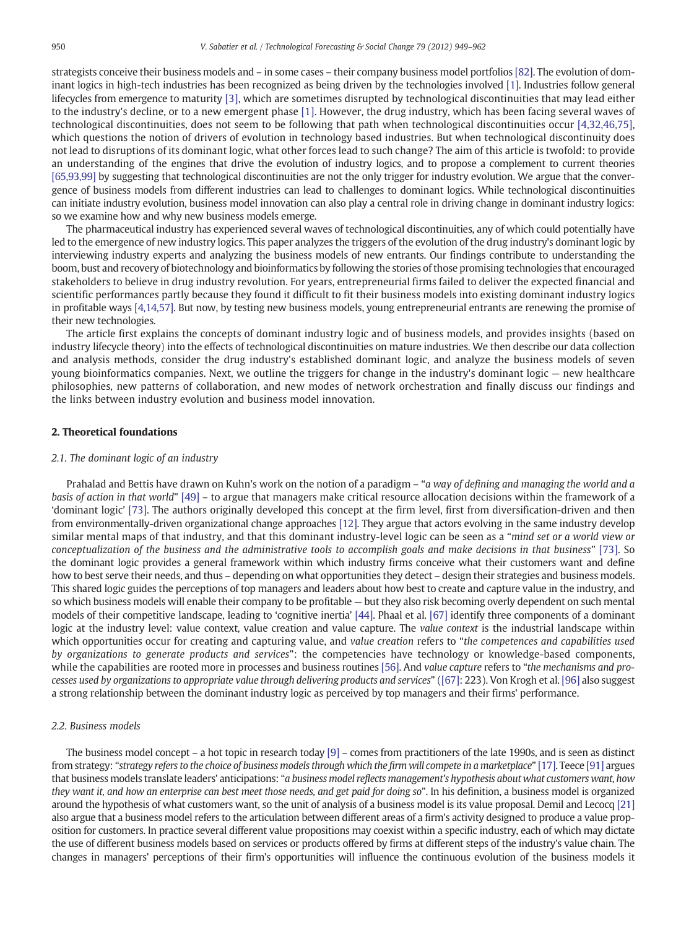strategists conceive their business models and – in some cases – their company business model portfolios [\[82\].](#page--1-0) The evolution of dominant logics in high-tech industries has been recognized as being driven by the technologies involved [\[1\].](#page--1-0) Industries follow general lifecycles from emergence to maturity [\[3\]](#page--1-0), which are sometimes disrupted by technological discontinuities that may lead either to the industry's decline, or to a new emergent phase [\[1\]](#page--1-0). However, the drug industry, which has been facing several waves of technological discontinuities, does not seem to be following that path when technological discontinuities occur [\[4,32,46,75\],](#page--1-0) which questions the notion of drivers of evolution in technology based industries. But when technological discontinuity does not lead to disruptions of its dominant logic, what other forces lead to such change? The aim of this article is twofold: to provide an understanding of the engines that drive the evolution of industry logics, and to propose a complement to current theories [\[65,93,99\]](#page--1-0) by suggesting that technological discontinuities are not the only trigger for industry evolution. We argue that the convergence of business models from different industries can lead to challenges to dominant logics. While technological discontinuities can initiate industry evolution, business model innovation can also play a central role in driving change in dominant industry logics: so we examine how and why new business models emerge.

The pharmaceutical industry has experienced several waves of technological discontinuities, any of which could potentially have led to the emergence of new industry logics. This paper analyzes the triggers of the evolution of the drug industry's dominant logic by interviewing industry experts and analyzing the business models of new entrants. Our findings contribute to understanding the boom, bust and recovery of biotechnology and bioinformatics by following the stories of those promising technologies that encouraged stakeholders to believe in drug industry revolution. For years, entrepreneurial firms failed to deliver the expected financial and scientific performances partly because they found it difficult to fit their business models into existing dominant industry logics in profitable ways [\[4,14,57\].](#page--1-0) But now, by testing new business models, young entrepreneurial entrants are renewing the promise of their new technologies.

The article first explains the concepts of dominant industry logic and of business models, and provides insights (based on industry lifecycle theory) into the effects of technological discontinuities on mature industries. We then describe our data collection and analysis methods, consider the drug industry's established dominant logic, and analyze the business models of seven young bioinformatics companies. Next, we outline the triggers for change in the industry's dominant logic — new healthcare philosophies, new patterns of collaboration, and new modes of network orchestration and finally discuss our findings and the links between industry evolution and business model innovation.

#### 2. Theoretical foundations

#### 2.1. The dominant logic of an industry

Prahalad and Bettis have drawn on Kuhn's work on the notion of a paradigm – "a way of defining and managing the world and a basis of action in that world" [\[49\]](#page--1-0) – to argue that managers make critical resource allocation decisions within the framework of a 'dominant logic' [\[73\]](#page--1-0). The authors originally developed this concept at the firm level, first from diversification-driven and then from environmentally-driven organizational change approaches [\[12\]](#page--1-0). They argue that actors evolving in the same industry develop similar mental maps of that industry, and that this dominant industry-level logic can be seen as a "mind set or a world view or conceptualization of the business and the administrative tools to accomplish goals and make decisions in that business" [\[73\].](#page--1-0) So the dominant logic provides a general framework within which industry firms conceive what their customers want and define how to best serve their needs, and thus – depending on what opportunities they detect – design their strategies and business models. This shared logic guides the perceptions of top managers and leaders about how best to create and capture value in the industry, and so which business models will enable their company to be profitable — but they also risk becoming overly dependent on such mental models of their competitive landscape, leading to 'cognitive inertia' [\[44\]](#page--1-0). Phaal et al. [\[67\]](#page--1-0) identify three components of a dominant logic at the industry level: value context, value creation and value capture. The *value context* is the industrial landscape within which opportunities occur for creating and capturing value, and value creation refers to "the competences and capabilities used by organizations to generate products and services": the competencies have technology or knowledge-based components, while the capabilities are rooted more in processes and business routines [\[56\]](#page--1-0). And value capture refers to "the mechanisms and processes used by organizations to appropriate value through delivering products and services" ([\[67\]](#page--1-0): 223). Von Krogh et al. [\[96\]](#page--1-0) also suggest a strong relationship between the dominant industry logic as perceived by top managers and their firms' performance.

#### 2.2. Business models

The business model concept – a hot topic in research today [\[9\]](#page--1-0) – comes from practitioners of the late 1990s, and is seen as distinct from strategy: "strategy refers to the choice of business models through which the firm will compete in a marketplace" [\[17\]](#page--1-0). Teece [\[91\]](#page--1-0) argues that business models translate leaders' anticipations: "a business model reflects management's hypothesis about what customers want, how they want it, and how an enterprise can best meet those needs, and get paid for doing so". In his definition, a business model is organized around the hypothesis of what customers want, so the unit of analysis of a business model is its value proposal. Demil and Lecocq [\[21\]](#page--1-0) also argue that a business model refers to the articulation between different areas of a firm's activity designed to produce a value proposition for customers. In practice several different value propositions may coexist within a specific industry, each of which may dictate the use of different business models based on services or products offered by firms at different steps of the industry's value chain. The changes in managers' perceptions of their firm's opportunities will influence the continuous evolution of the business models it